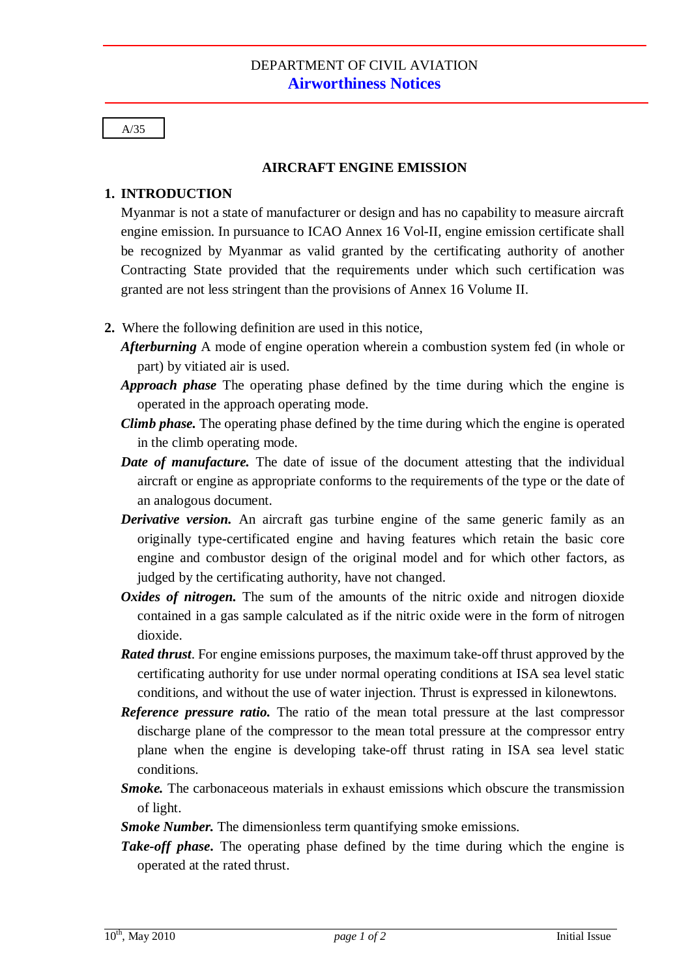## A/35

## **AIRCRAFT ENGINE EMISSION**

## **1. INTRODUCTION**

Myanmar is not a state of manufacturer or design and has no capability to measure aircraft engine emission. In pursuance to ICAO Annex 16 Vol-II, engine emission certificate shall be recognized by Myanmar as valid granted by the certificating authority of another Contracting State provided that the requirements under which such certification was granted are not less stringent than the provisions of Annex 16 Volume II.

- **2.** Where the following definition are used in this notice,
	- *Afterburning* A mode of engine operation wherein a combustion system fed (in whole or part) by vitiated air is used.
	- *Approach phase* The operating phase defined by the time during which the engine is operated in the approach operating mode.
	- *Climb phase.* The operating phase defined by the time during which the engine is operated in the climb operating mode.
	- *Date of manufacture.* The date of issue of the document attesting that the individual aircraft or engine as appropriate conforms to the requirements of the type or the date of an analogous document.
	- *Derivative version.* An aircraft gas turbine engine of the same generic family as an originally type-certificated engine and having features which retain the basic core engine and combustor design of the original model and for which other factors, as judged by the certificating authority, have not changed.
	- *Oxides of nitrogen*. The sum of the amounts of the nitric oxide and nitrogen dioxide contained in a gas sample calculated as if the nitric oxide were in the form of nitrogen dioxide.
	- *Rated thrust*. For engine emissions purposes, the maximum take-off thrust approved by the certificating authority for use under normal operating conditions at ISA sea level static conditions, and without the use of water injection. Thrust is expressed in kilonewtons.
	- *Reference pressure ratio.* The ratio of the mean total pressure at the last compressor discharge plane of the compressor to the mean total pressure at the compressor entry plane when the engine is developing take-off thrust rating in ISA sea level static conditions.
	- *Smoke.* The carbonaceous materials in exhaust emissions which obscure the transmission of light.
	- *Smoke Number.* The dimensionless term quantifying smoke emissions.
	- *Take-off phase*. The operating phase defined by the time during which the engine is operated at the rated thrust.